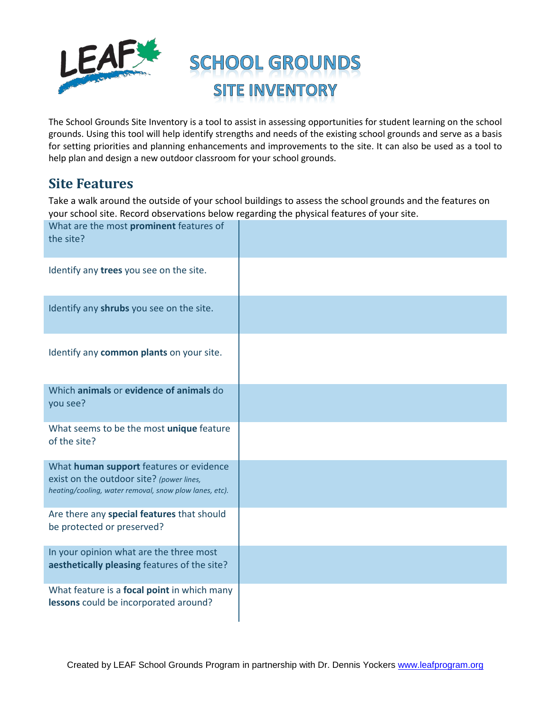

The School Grounds Site Inventory is a tool to assist in assessing opportunities for student learning on the school grounds. Using this tool will help identify strengths and needs of the existing school grounds and serve as a basis for setting priorities and planning enhancements and improvements to the site. It can also be used as a tool to help plan and design a new outdoor classroom for your school grounds.

## **Site Features**

Take a walk around the outside of your school buildings to assess the school grounds and the features on your school site. Record observations below regarding the physical features of your site.

| What are the most prominent features of<br>the site?                                                                                          |  |
|-----------------------------------------------------------------------------------------------------------------------------------------------|--|
| Identify any trees you see on the site.                                                                                                       |  |
| Identify any shrubs you see on the site.                                                                                                      |  |
| Identify any common plants on your site.                                                                                                      |  |
| Which animals or evidence of animals do<br>you see?                                                                                           |  |
| What seems to be the most unique feature<br>of the site?                                                                                      |  |
| What human support features or evidence<br>exist on the outdoor site? (power lines,<br>heating/cooling, water removal, snow plow lanes, etc). |  |
| Are there any special features that should<br>be protected or preserved?                                                                      |  |
| In your opinion what are the three most<br>aesthetically pleasing features of the site?                                                       |  |
| What feature is a focal point in which many<br>lessons could be incorporated around?                                                          |  |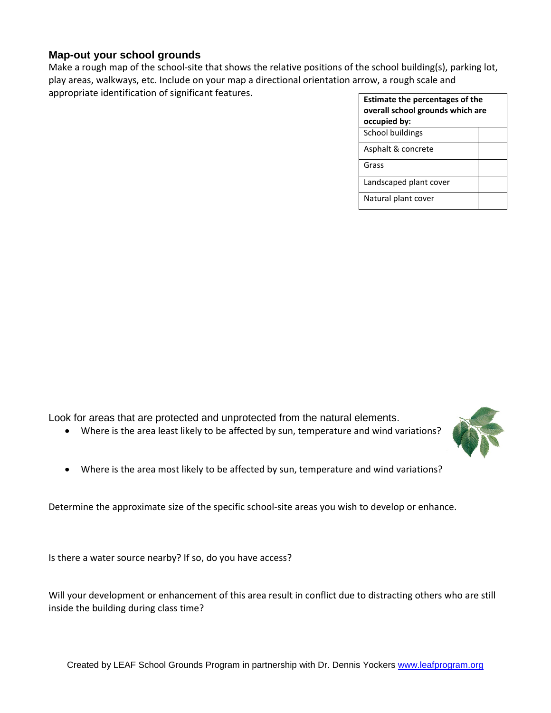## **Map-out your school grounds**

Make a rough map of the school-site that shows the relative positions of the school building(s), parking lot, play areas, walkways, etc. Include on your map a directional orientation arrow, a rough scale and appropriate identification of significant features.

| <b>Estimate the percentages of the</b><br>overall school grounds which are |  |
|----------------------------------------------------------------------------|--|
| occupied by:                                                               |  |
| School buildings                                                           |  |
| Asphalt & concrete                                                         |  |
| Grass                                                                      |  |
| Landscaped plant cover                                                     |  |
| Natural plant cover                                                        |  |

Look for areas that are protected and unprotected from the natural elements.

- Where is the area least likely to be affected by sun, temperature and wind variations?
- Where is the area most likely to be affected by sun, temperature and wind variations?

Determine the approximate size of the specific school-site areas you wish to develop or enhance.

Is there a water source nearby? If so, do you have access?

Will your development or enhancement of this area result in conflict due to distracting others who are still inside the building during class time?

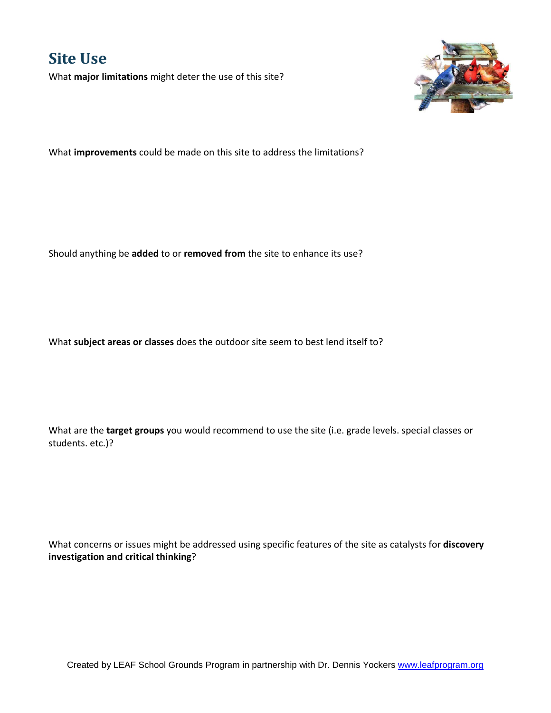

What **improvements** could be made on this site to address the limitations?

Should anything be **added** to or **removed from** the site to enhance its use?

What **subject areas or classes** does the outdoor site seem to best lend itself to?

What are the **target groups** you would recommend to use the site (i.e. grade levels. special classes or students. etc.)?

What concerns or issues might be addressed using specific features of the site as catalysts for **discovery investigation and critical thinking**?